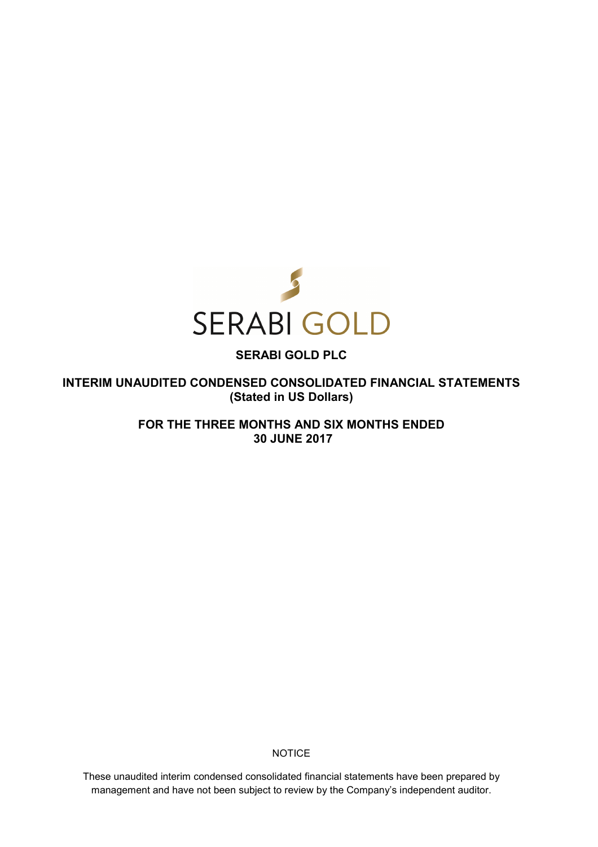

# **SERABI GOLD PLC**

**INTERIM UNAUDITED CONDENSED CONSOLIDATED FINANCIAL STATEMENTS (Stated in US Dollars)** 

> **FOR THE THREE MONTHS AND SIX MONTHS ENDED 30 JUNE 2017**

> > **NOTICE**

These unaudited interim condensed consolidated financial statements have been prepared by management and have not been subject to review by the Company's independent auditor.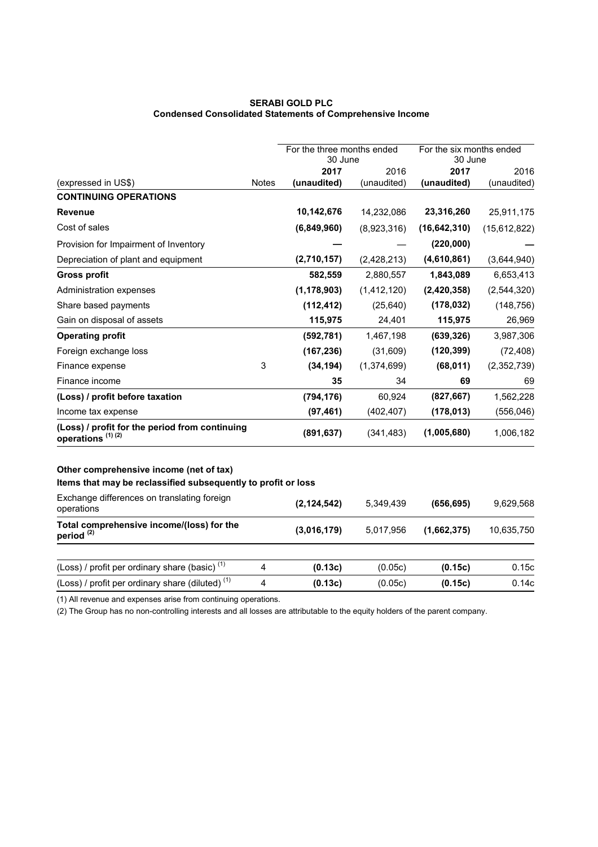## **SERABI GOLD PLC Condensed Consolidated Statements of Comprehensive Income**

|                                                                                |              | For the three months ended<br>30 June |             | For the six months ended<br>30 June |                |
|--------------------------------------------------------------------------------|--------------|---------------------------------------|-------------|-------------------------------------|----------------|
|                                                                                |              | 2017                                  | 2016        | 2017                                | 2016           |
| (expressed in US\$)                                                            | <b>Notes</b> | (unaudited)                           | (unaudited) | (unaudited)                         | (unaudited)    |
| <b>CONTINUING OPERATIONS</b>                                                   |              |                                       |             |                                     |                |
| <b>Revenue</b>                                                                 |              | 10,142,676                            | 14,232,086  | 23,316,260                          | 25,911,175     |
| Cost of sales                                                                  |              | (6,849,960)                           | (8,923,316) | (16, 642, 310)                      | (15, 612, 822) |
| Provision for Impairment of Inventory                                          |              |                                       |             | (220,000)                           |                |
| Depreciation of plant and equipment                                            |              | (2,710,157)                           | (2,428,213) | (4,610,861)                         | (3,644,940)    |
| <b>Gross profit</b>                                                            |              | 582,559                               | 2,880,557   | 1,843,089                           | 6,653,413      |
| Administration expenses                                                        |              | (1, 178, 903)                         | (1,412,120) | (2,420,358)                         | (2,544,320)    |
| Share based payments                                                           |              | (112, 412)                            | (25, 640)   | (178, 032)                          | (148, 756)     |
| Gain on disposal of assets                                                     |              | 115,975                               | 24,401      | 115,975                             | 26,969         |
| <b>Operating profit</b>                                                        |              | (592, 781)                            | 1,467,198   | (639, 326)                          | 3,987,306      |
| Foreign exchange loss                                                          |              | (167, 236)                            | (31,609)    | (120, 399)                          | (72, 408)      |
| Finance expense                                                                | 3            | (34, 194)                             | (1,374,699) | (68, 011)                           | (2,352,739)    |
| Finance income                                                                 |              | 35                                    | 34          | 69                                  | 69             |
| (Loss) / profit before taxation                                                |              | (794, 176)                            | 60,924      | (827, 667)                          | 1,562,228      |
| Income tax expense                                                             |              | (97, 461)                             | (402, 407)  | (178, 013)                          | (556, 046)     |
| (Loss) / profit for the period from continuing<br>operations <sup>(1)(2)</sup> |              | (891, 637)                            | (341, 483)  | (1,005,680)                         | 1,006,182      |
| Other comprehensive income (net of tax)                                        |              |                                       |             |                                     |                |
| Items that may be reclassified subsequently to profit or loss                  |              |                                       |             |                                     |                |
| Exchange differences on translating foreign<br>operations                      |              | (2, 124, 542)                         | 5,349,439   | (656, 695)                          | 9,629,568      |
| Total comprehensive income/(loss) for the<br>period <sup>(2)</sup>             |              | (3,016,179)                           | 5,017,956   | (1,662,375)                         | 10,635,750     |
| (Loss) / profit per ordinary share (basic) <sup>(1)</sup>                      | 4            | (0.13c)                               | (0.05c)     | (0.15c)                             | 0.15c          |
| (Loss) / profit per ordinary share (diluted) <sup>(1)</sup>                    | 4            | (0.13c)                               | (0.05c)     | (0.15c)                             | 0.14c          |
|                                                                                |              |                                       |             |                                     |                |

(1) All revenue and expenses arise from continuing operations.

(2) The Group has no non-controlling interests and all losses are attributable to the equity holders of the parent company.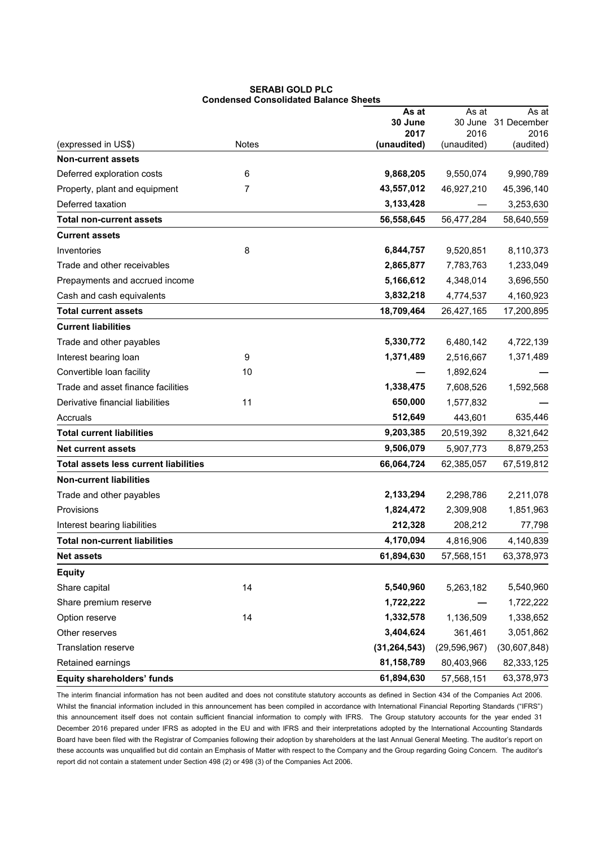|                                              |              | As at           | As at           | As at               |
|----------------------------------------------|--------------|-----------------|-----------------|---------------------|
|                                              |              | 30 June<br>2017 | 30 June<br>2016 | 31 December<br>2016 |
| (expressed in US\$)                          | <b>Notes</b> | (unaudited)     | (unaudited)     | (audited)           |
| <b>Non-current assets</b>                    |              |                 |                 |                     |
| Deferred exploration costs                   | 6            | 9,868,205       | 9,550,074       | 9,990,789           |
| Property, plant and equipment                | 7            | 43,557,012      | 46,927,210      | 45,396,140          |
| Deferred taxation                            |              | 3,133,428       |                 | 3,253,630           |
| <b>Total non-current assets</b>              |              | 56,558,645      | 56,477,284      | 58,640,559          |
| <b>Current assets</b>                        |              |                 |                 |                     |
| Inventories                                  | 8            | 6,844,757       | 9,520,851       | 8,110,373           |
| Trade and other receivables                  |              | 2,865,877       | 7,783,763       | 1,233,049           |
| Prepayments and accrued income               |              | 5,166,612       | 4,348,014       | 3,696,550           |
| Cash and cash equivalents                    |              | 3,832,218       | 4,774,537       | 4,160,923           |
| <b>Total current assets</b>                  |              | 18,709,464      | 26,427,165      | 17,200,895          |
| <b>Current liabilities</b>                   |              |                 |                 |                     |
| Trade and other payables                     |              | 5,330,772       | 6,480,142       | 4,722,139           |
| Interest bearing loan                        | 9            | 1,371,489       | 2,516,667       | 1,371,489           |
| Convertible loan facility                    | 10           |                 | 1,892,624       |                     |
| Trade and asset finance facilities           |              | 1,338,475       | 7,608,526       | 1,592,568           |
| Derivative financial liabilities             | 11           | 650,000         | 1,577,832       |                     |
| Accruals                                     |              | 512,649         | 443,601         | 635,446             |
| <b>Total current liabilities</b>             |              | 9,203,385       | 20,519,392      | 8,321,642           |
| <b>Net current assets</b>                    |              | 9,506,079       | 5,907,773       | 8,879,253           |
| <b>Total assets less current liabilities</b> |              | 66,064,724      | 62,385,057      | 67,519,812          |
| <b>Non-current liabilities</b>               |              |                 |                 |                     |
| Trade and other payables                     |              | 2,133,294       | 2,298,786       | 2,211,078           |
| Provisions                                   |              | 1,824,472       | 2,309,908       | 1,851,963           |
| Interest bearing liabilities                 |              | 212,328         | 208,212         | 77,798              |
| <b>Total non-current liabilities</b>         |              | 4,170,094       | 4,816,906       | 4,140,839           |
| <b>Net assets</b>                            |              | 61,894,630      | 57,568,151      | 63,378,973          |
| <b>Equity</b>                                |              |                 |                 |                     |
| Share capital                                | 14           | 5,540,960       | 5,263,182       | 5,540,960           |
| Share premium reserve                        |              | 1,722,222       |                 | 1,722,222           |
| Option reserve                               | 14           | 1,332,578       | 1,136,509       | 1,338,652           |
| Other reserves                               |              | 3,404,624       | 361,461         | 3,051,862           |
| <b>Translation reserve</b>                   |              | (31, 264, 543)  | (29, 596, 967)  | (30,607,848)        |
| Retained earnings                            |              | 81,158,789      | 80,403,966      | 82,333,125          |
| Equity shareholders' funds                   |              | 61,894,630      | 57,568,151      | 63,378,973          |

**SERABI GOLD PLC Condensed Consolidated Balance Sheets** 

The interim financial information has not been audited and does not constitute statutory accounts as defined in Section 434 of the Companies Act 2006. Whilst the financial information included in this announcement has been compiled in accordance with International Financial Reporting Standards ("IFRS") this announcement itself does not contain sufficient financial information to comply with IFRS. The Group statutory accounts for the year ended 31 December 2016 prepared under IFRS as adopted in the EU and with IFRS and their interpretations adopted by the International Accounting Standards Board have been filed with the Registrar of Companies following their adoption by shareholders at the last Annual General Meeting. The auditor's report on these accounts was unqualified but did contain an Emphasis of Matter with respect to the Company and the Group regarding Going Concern. The auditor's report did not contain a statement under Section 498 (2) or 498 (3) of the Companies Act 2006.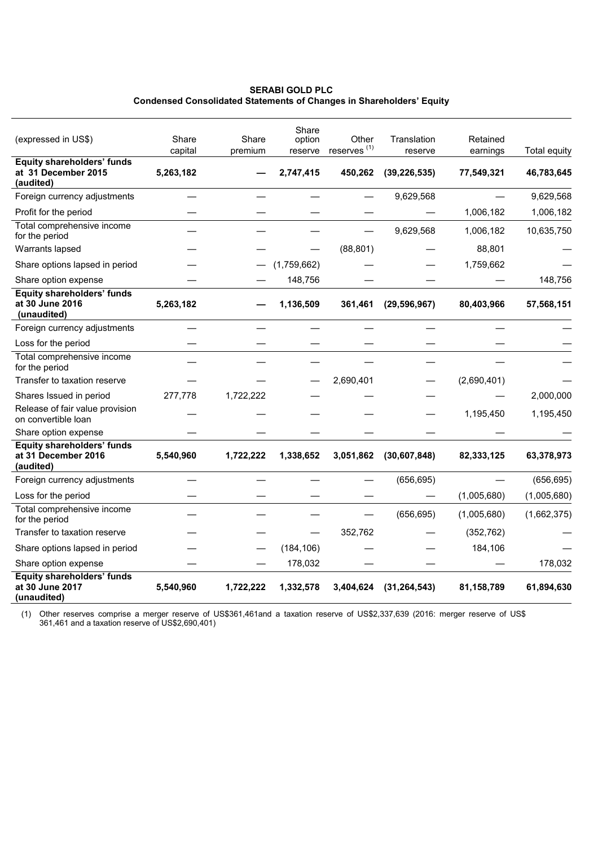## **SERABI GOLD PLC Condensed Consolidated Statements of Changes in Shareholders' Equity**

|                                                                       |                      |           | Share                |                                    |                           |                        |                            |
|-----------------------------------------------------------------------|----------------------|-----------|----------------------|------------------------------------|---------------------------|------------------------|----------------------------|
| (expressed in US\$)                                                   | Share                | Share     | option               | Other                              | Translation               | Retained               |                            |
| <b>Equity shareholders' funds</b><br>at 31 December 2015<br>(audited) | capital<br>5,263,182 | premium   | reserve<br>2,747,415 | reserves <sup>(1)</sup><br>450,262 | reserve<br>(39, 226, 535) | earnings<br>77,549,321 | Total equity<br>46,783,645 |
| Foreign currency adjustments                                          |                      |           |                      |                                    | 9,629,568                 |                        | 9,629,568                  |
| Profit for the period                                                 |                      |           |                      |                                    |                           | 1,006,182              | 1,006,182                  |
| Total comprehensive income<br>for the period                          |                      |           |                      |                                    | 9,629,568                 | 1,006,182              | 10,635,750                 |
| Warrants lapsed                                                       |                      |           |                      | (88, 801)                          |                           | 88,801                 |                            |
| Share options lapsed in period                                        |                      |           | (1,759,662)          |                                    |                           | 1,759,662              |                            |
| Share option expense                                                  |                      |           | 148,756              |                                    |                           |                        | 148,756                    |
| <b>Equity shareholders' funds</b><br>at 30 June 2016<br>(unaudited)   | 5,263,182            |           | 1,136,509            | 361,461                            | (29, 596, 967)            | 80,403,966             | 57,568,151                 |
| Foreign currency adjustments                                          |                      |           |                      |                                    |                           |                        |                            |
| Loss for the period                                                   |                      |           |                      |                                    |                           |                        |                            |
| Total comprehensive income<br>for the period                          |                      |           |                      |                                    |                           |                        |                            |
| Transfer to taxation reserve                                          |                      |           |                      | 2,690,401                          |                           | (2,690,401)            |                            |
| Shares Issued in period                                               | 277,778              | 1,722,222 |                      |                                    |                           |                        | 2,000,000                  |
| Release of fair value provision<br>on convertible loan                |                      |           |                      |                                    |                           | 1,195,450              | 1,195,450                  |
| Share option expense                                                  |                      |           |                      |                                    |                           |                        |                            |
| <b>Equity shareholders' funds</b><br>at 31 December 2016<br>(audited) | 5,540,960            | 1,722,222 | 1,338,652            | 3,051,862                          | (30, 607, 848)            | 82,333,125             | 63,378,973                 |
| Foreign currency adjustments                                          |                      |           |                      |                                    | (656, 695)                |                        | (656, 695)                 |
| Loss for the period                                                   |                      |           |                      |                                    |                           | (1,005,680)            | (1,005,680)                |
| Total comprehensive income<br>for the period                          |                      |           |                      |                                    | (656, 695)                | (1,005,680)            | (1,662,375)                |
| Transfer to taxation reserve                                          |                      |           |                      | 352,762                            |                           | (352, 762)             |                            |
| Share options lapsed in period                                        |                      |           | (184, 106)           |                                    |                           | 184,106                |                            |
| Share option expense                                                  |                      |           | 178,032              |                                    |                           |                        | 178,032                    |
| <b>Equity shareholders' funds</b><br>at 30 June 2017<br>(unaudited)   | 5,540,960            | 1,722,222 | 1,332,578            | 3,404,624                          | (31, 264, 543)            | 81,158,789             | 61,894,630                 |

(1) Other reserves comprise a merger reserve of US\$361,461and a taxation reserve of US\$2,337,639 (2016: merger reserve of US\$ 361,461 and a taxation reserve of US\$2,690,401)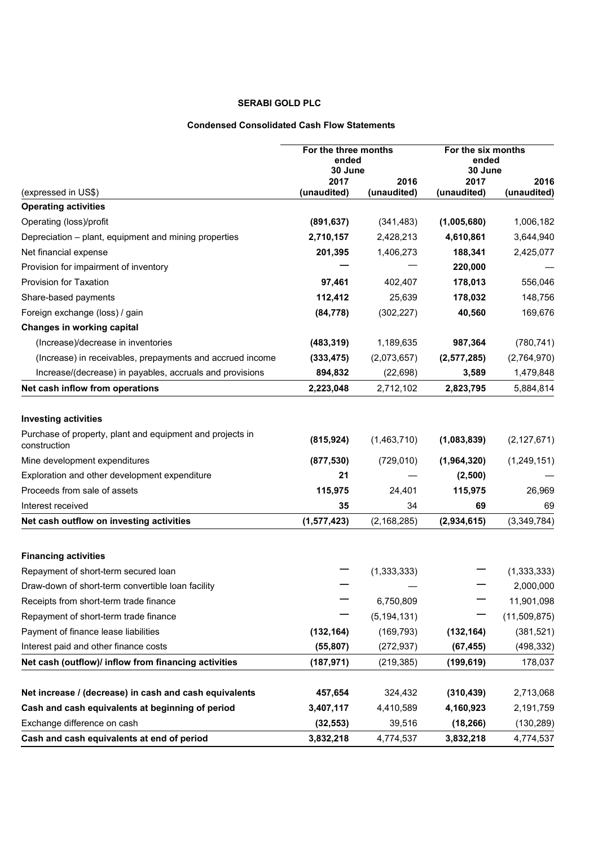# **SERABI GOLD PLC**

## **Condensed Consolidated Cash Flow Statements**

|                                                                           | For the three months<br>ended<br>30 June |                     | For the six months<br>ended<br>30 June |                     |
|---------------------------------------------------------------------------|------------------------------------------|---------------------|----------------------------------------|---------------------|
| (expressed in US\$)                                                       | 2017<br>(unaudited)                      | 2016<br>(unaudited) | 2017<br>(unaudited)                    | 2016<br>(unaudited) |
| <b>Operating activities</b>                                               |                                          |                     |                                        |                     |
| Operating (loss)/profit                                                   | (891, 637)                               | (341, 483)          | (1,005,680)                            | 1,006,182           |
| Depreciation - plant, equipment and mining properties                     | 2,710,157                                | 2,428,213           | 4,610,861                              | 3,644,940           |
| Net financial expense                                                     | 201,395                                  | 1,406,273           | 188,341                                | 2,425,077           |
| Provision for impairment of inventory                                     |                                          |                     | 220,000                                |                     |
| <b>Provision for Taxation</b>                                             | 97.461                                   | 402,407             | 178,013                                | 556,046             |
| Share-based payments                                                      | 112,412                                  | 25,639              | 178,032                                | 148,756             |
| Foreign exchange (loss) / gain                                            | (84, 778)                                | (302, 227)          | 40,560                                 | 169,676             |
| Changes in working capital                                                |                                          |                     |                                        |                     |
| (Increase)/decrease in inventories                                        | (483, 319)                               | 1,189,635           | 987,364                                | (780, 741)          |
| (Increase) in receivables, prepayments and accrued income                 | (333, 475)                               | (2,073,657)         | (2,577,285)                            | (2,764,970)         |
| Increase/(decrease) in payables, accruals and provisions                  | 894,832                                  | (22, 698)           | 3,589                                  | 1,479,848           |
| Net cash inflow from operations                                           | 2,223,048                                | 2,712,102           | 2,823,795                              | 5,884,814           |
|                                                                           |                                          |                     |                                        |                     |
| <b>Investing activities</b>                                               |                                          |                     |                                        |                     |
| Purchase of property, plant and equipment and projects in<br>construction | (815, 924)                               | (1,463,710)         | (1,083,839)                            | (2, 127, 671)       |
| Mine development expenditures                                             | (877, 530)                               | (729, 010)          | (1,964,320)                            | (1, 249, 151)       |
| Exploration and other development expenditure                             | 21                                       |                     | (2,500)                                |                     |
| Proceeds from sale of assets                                              | 115,975                                  | 24,401              | 115,975                                | 26,969              |
| Interest received                                                         | 35                                       | 34                  | 69                                     | 69                  |
| Net cash outflow on investing activities                                  | (1, 577, 423)                            | (2, 168, 285)       | (2,934,615)                            | (3,349,784)         |
|                                                                           |                                          |                     |                                        |                     |
| <b>Financing activities</b>                                               |                                          |                     |                                        |                     |
| Repayment of short-term secured loan                                      |                                          | (1, 333, 333)       |                                        | (1, 333, 333)       |
| Draw-down of short-term convertible loan facility                         |                                          |                     |                                        | 2,000,000           |
| Receipts from short-term trade finance                                    |                                          | 6,750,809           |                                        | 11,901,098          |
| Repayment of short-term trade finance                                     |                                          | (5, 194, 131)       |                                        | (11,509,875)        |
| Payment of finance lease liabilities                                      | (132, 164)                               | (169, 793)          | (132, 164)                             | (381, 521)          |
| Interest paid and other finance costs                                     | (55, 807)                                | (272, 937)          | (67, 455)                              | (498, 332)          |
| Net cash (outflow)/ inflow from financing activities                      | (187, 971)                               | (219, 385)          | (199, 619)                             | 178,037             |
|                                                                           |                                          |                     |                                        |                     |
| Net increase / (decrease) in cash and cash equivalents                    | 457,654                                  | 324,432             | (310, 439)                             | 2,713,068           |
| Cash and cash equivalents at beginning of period                          | 3,407,117                                | 4,410,589           | 4,160,923                              | 2,191,759           |
| Exchange difference on cash                                               | (32, 553)                                | 39,516              | (18, 266)                              | (130, 289)          |
| Cash and cash equivalents at end of period                                | 3,832,218                                | 4,774,537           | 3,832,218                              | 4,774,537           |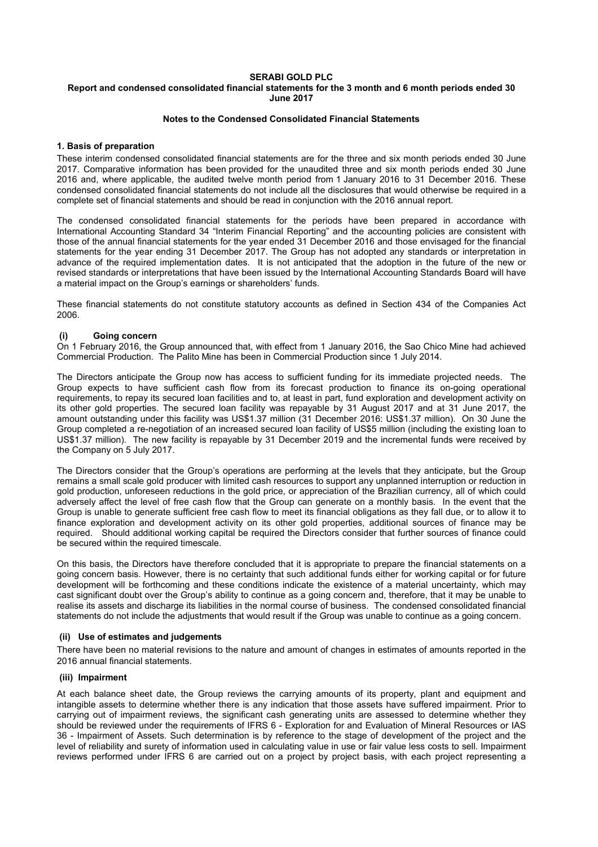## **SERABI GOLD PLC**

## **Report and condensed consolidated financial statements for the 3 month and 6 month periods ended 30 June 2017**

## **Notes to the Condensed Consolidated Financial Statements**

## **1. Basis of preparation**

These interim condensed consolidated financial statements are for the three and six month periods ended 30 June 2017. Comparative information has been provided for the unaudited three and six month periods ended 30 June 2016 and, where applicable, the audited twelve month period from 1 January 2016 to 31 December 2016. These condensed consolidated financial statements do not include all the disclosures that would otherwise be required in a complete set of financial statements and should be read in conjunction with the 2016 annual report.

The condensed consolidated financial statements for the periods have been prepared in accordance with International Accounting Standard 34 "Interim Financial Reporting" and the accounting policies are consistent with those of the annual financial statements for the year ended 31 December 2016 and those envisaged for the financial statements for the year ending 31 December 2017. The Group has not adopted any standards or interpretation in advance of the required implementation dates. It is not anticipated that the adoption in the future of the new or revised standards or interpretations that have been issued by the International Accounting Standards Board will have a material impact on the Group's earnings or shareholders' funds.

These financial statements do not constitute statutory accounts as defined in Section 434 of the Companies Act 2006.

## **(i) Going concern**

On 1 February 2016, the Group announced that, with effect from 1 January 2016, the Sao Chico Mine had achieved Commercial Production. The Palito Mine has been in Commercial Production since 1 July 2014.

The Directors anticipate the Group now has access to sufficient funding for its immediate projected needs. The Group expects to have sufficient cash flow from its forecast production to finance its on-going operational requirements, to repay its secured loan facilities and to, at least in part, fund exploration and development activity on its other gold properties. The secured loan facility was repayable by 31 August 2017 and at 31 June 2017, the amount outstanding under this facility was US\$1.37 million (31 December 2016: US\$1.37 million). On 30 June the Group completed a re-negotiation of an increased secured loan facility of US\$5 million (including the existing loan to US\$1.37 million). The new facility is repayable by 31 December 2019 and the incremental funds were received by the Company on 5 July 2017.

The Directors consider that the Group's operations are performing at the levels that they anticipate, but the Group remains a small scale gold producer with limited cash resources to support any unplanned interruption or reduction in gold production, unforeseen reductions in the gold price, or appreciation of the Brazilian currency, all of which could adversely affect the level of free cash flow that the Group can generate on a monthly basis. In the event that the Group is unable to generate sufficient free cash flow to meet its financial obligations as they fall due, or to allow it to finance exploration and development activity on its other gold properties, additional sources of finance may be required. Should additional working capital be required the Directors consider that further sources of finance could be secured within the required timescale.

On this basis, the Directors have therefore concluded that it is appropriate to prepare the financial statements on a going concern basis. However, there is no certainty that such additional funds either for working capital or for future development will be forthcoming and these conditions indicate the existence of a material uncertainty, which may cast significant doubt over the Group's ability to continue as a going concern and, therefore, that it may be unable to realise its assets and discharge its liabilities in the normal course of business. The condensed consolidated financial statements do not include the adjustments that would result if the Group was unable to continue as a going concern.

## **(ii) Use of estimates and judgements**

There have been no material revisions to the nature and amount of changes in estimates of amounts reported in the 2016 annual financial statements.

## **(iii) Impairment**

At each balance sheet date, the Group reviews the carrying amounts of its property, plant and equipment and intangible assets to determine whether there is any indication that those assets have suffered impairment. Prior to carrying out of impairment reviews, the significant cash generating units are assessed to determine whether they should be reviewed under the requirements of IFRS 6 - Exploration for and Evaluation of Mineral Resources or IAS 36 - Impairment of Assets. Such determination is by reference to the stage of development of the project and the level of reliability and surety of information used in calculating value in use or fair value less costs to sell. Impairment reviews performed under IFRS 6 are carried out on a project by project basis, with each project representing a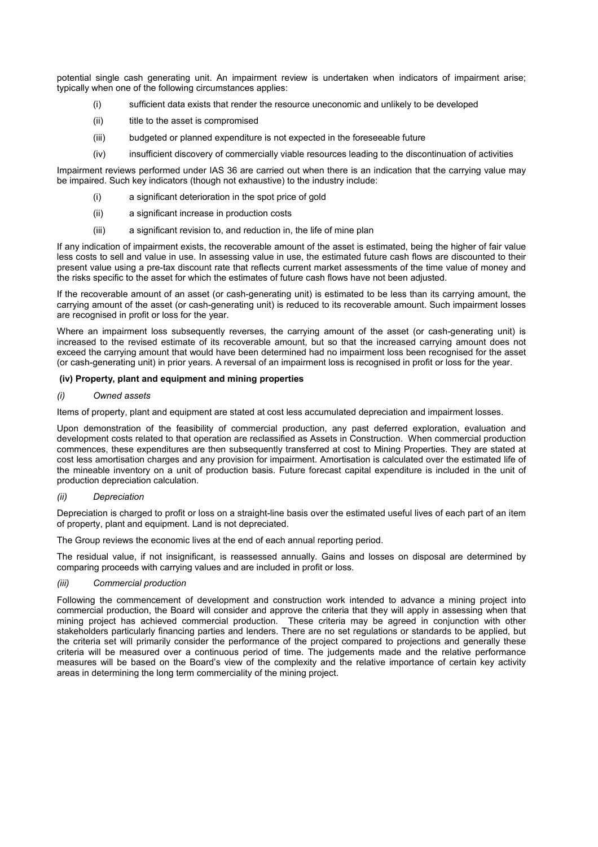potential single cash generating unit. An impairment review is undertaken when indicators of impairment arise; typically when one of the following circumstances applies:

- (i) sufficient data exists that render the resource uneconomic and unlikely to be developed
- (ii) title to the asset is compromised
- (iii) budgeted or planned expenditure is not expected in the foreseeable future
- (iv) insufficient discovery of commercially viable resources leading to the discontinuation of activities

Impairment reviews performed under IAS 36 are carried out when there is an indication that the carrying value may be impaired. Such key indicators (though not exhaustive) to the industry include:

- a significant deterioration in the spot price of gold
- (ii) a significant increase in production costs
- (iii) a significant revision to, and reduction in, the life of mine plan

If any indication of impairment exists, the recoverable amount of the asset is estimated, being the higher of fair value less costs to sell and value in use. In assessing value in use, the estimated future cash flows are discounted to their present value using a pre-tax discount rate that reflects current market assessments of the time value of money and the risks specific to the asset for which the estimates of future cash flows have not been adjusted.

If the recoverable amount of an asset (or cash-generating unit) is estimated to be less than its carrying amount, the carrying amount of the asset (or cash-generating unit) is reduced to its recoverable amount. Such impairment losses are recognised in profit or loss for the year.

Where an impairment loss subsequently reverses, the carrying amount of the asset (or cash-generating unit) is increased to the revised estimate of its recoverable amount, but so that the increased carrying amount does not exceed the carrying amount that would have been determined had no impairment loss been recognised for the asset (or cash-generating unit) in prior years. A reversal of an impairment loss is recognised in profit or loss for the year.

## **(iv) Property, plant and equipment and mining properties**

#### *(i) Owned assets*

Items of property, plant and equipment are stated at cost less accumulated depreciation and impairment losses.

Upon demonstration of the feasibility of commercial production, any past deferred exploration, evaluation and development costs related to that operation are reclassified as Assets in Construction. When commercial production commences, these expenditures are then subsequently transferred at cost to Mining Properties. They are stated at cost less amortisation charges and any provision for impairment. Amortisation is calculated over the estimated life of the mineable inventory on a unit of production basis. Future forecast capital expenditure is included in the unit of production depreciation calculation.

#### *(ii) Depreciation*

Depreciation is charged to profit or loss on a straight-line basis over the estimated useful lives of each part of an item of property, plant and equipment. Land is not depreciated.

The Group reviews the economic lives at the end of each annual reporting period.

The residual value, if not insignificant, is reassessed annually. Gains and losses on disposal are determined by comparing proceeds with carrying values and are included in profit or loss.

## *(iii) Commercial production*

Following the commencement of development and construction work intended to advance a mining project into commercial production, the Board will consider and approve the criteria that they will apply in assessing when that mining project has achieved commercial production. These criteria may be agreed in conjunction with other stakeholders particularly financing parties and lenders. There are no set regulations or standards to be applied, but the criteria set will primarily consider the performance of the project compared to projections and generally these criteria will be measured over a continuous period of time. The judgements made and the relative performance measures will be based on the Board's view of the complexity and the relative importance of certain key activity areas in determining the long term commerciality of the mining project.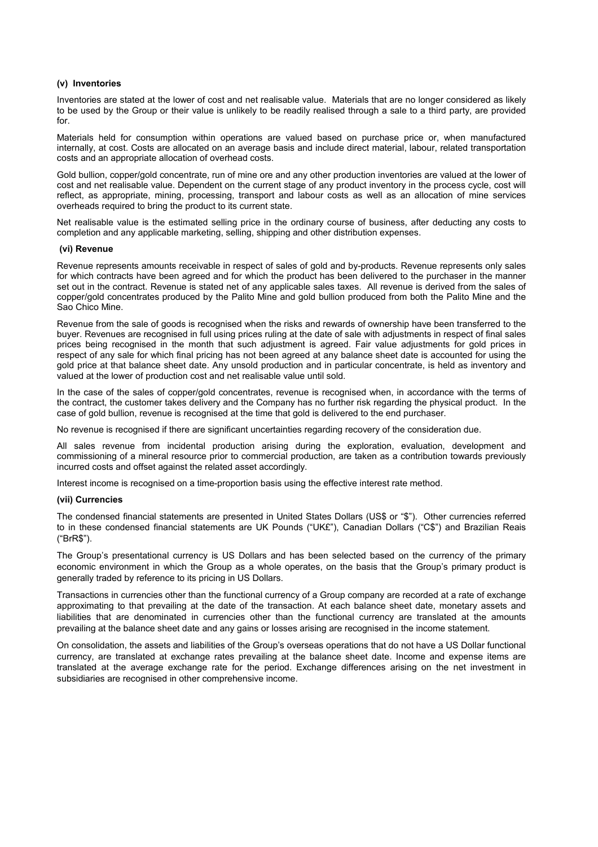## **(v) Inventories**

Inventories are stated at the lower of cost and net realisable value. Materials that are no longer considered as likely to be used by the Group or their value is unlikely to be readily realised through a sale to a third party, are provided for.

Materials held for consumption within operations are valued based on purchase price or, when manufactured internally, at cost. Costs are allocated on an average basis and include direct material, labour, related transportation costs and an appropriate allocation of overhead costs.

Gold bullion, copper/gold concentrate, run of mine ore and any other production inventories are valued at the lower of cost and net realisable value. Dependent on the current stage of any product inventory in the process cycle, cost will reflect, as appropriate, mining, processing, transport and labour costs as well as an allocation of mine services overheads required to bring the product to its current state.

Net realisable value is the estimated selling price in the ordinary course of business, after deducting any costs to completion and any applicable marketing, selling, shipping and other distribution expenses.

#### **(vi) Revenue**

Revenue represents amounts receivable in respect of sales of gold and by-products. Revenue represents only sales for which contracts have been agreed and for which the product has been delivered to the purchaser in the manner set out in the contract. Revenue is stated net of any applicable sales taxes. All revenue is derived from the sales of copper/gold concentrates produced by the Palito Mine and gold bullion produced from both the Palito Mine and the Sao Chico Mine.

Revenue from the sale of goods is recognised when the risks and rewards of ownership have been transferred to the buyer. Revenues are recognised in full using prices ruling at the date of sale with adjustments in respect of final sales prices being recognised in the month that such adjustment is agreed. Fair value adjustments for gold prices in respect of any sale for which final pricing has not been agreed at any balance sheet date is accounted for using the gold price at that balance sheet date. Any unsold production and in particular concentrate, is held as inventory and valued at the lower of production cost and net realisable value until sold.

In the case of the sales of copper/gold concentrates, revenue is recognised when, in accordance with the terms of the contract, the customer takes delivery and the Company has no further risk regarding the physical product. In the case of gold bullion, revenue is recognised at the time that gold is delivered to the end purchaser.

No revenue is recognised if there are significant uncertainties regarding recovery of the consideration due.

All sales revenue from incidental production arising during the exploration, evaluation, development and commissioning of a mineral resource prior to commercial production, are taken as a contribution towards previously incurred costs and offset against the related asset accordingly.

Interest income is recognised on a time-proportion basis using the effective interest rate method.

## **(vii) Currencies**

The condensed financial statements are presented in United States Dollars (US\$ or "\$"). Other currencies referred to in these condensed financial statements are UK Pounds ("UK£"), Canadian Dollars ("C\$") and Brazilian Reais ("BrR\$").

The Group's presentational currency is US Dollars and has been selected based on the currency of the primary economic environment in which the Group as a whole operates, on the basis that the Group's primary product is generally traded by reference to its pricing in US Dollars.

Transactions in currencies other than the functional currency of a Group company are recorded at a rate of exchange approximating to that prevailing at the date of the transaction. At each balance sheet date, monetary assets and liabilities that are denominated in currencies other than the functional currency are translated at the amounts prevailing at the balance sheet date and any gains or losses arising are recognised in the income statement.

On consolidation, the assets and liabilities of the Group's overseas operations that do not have a US Dollar functional currency, are translated at exchange rates prevailing at the balance sheet date. Income and expense items are translated at the average exchange rate for the period. Exchange differences arising on the net investment in subsidiaries are recognised in other comprehensive income.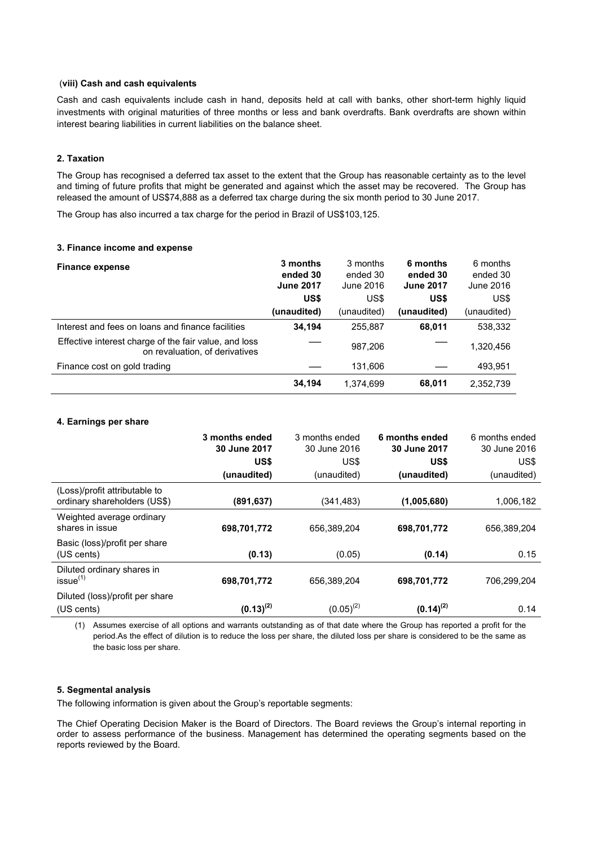## (**viii) Cash and cash equivalents**

Cash and cash equivalents include cash in hand, deposits held at call with banks, other short-term highly liquid investments with original maturities of three months or less and bank overdrafts. Bank overdrafts are shown within interest bearing liabilities in current liabilities on the balance sheet.

## **2. Taxation**

The Group has recognised a deferred tax asset to the extent that the Group has reasonable certainty as to the level and timing of future profits that might be generated and against which the asset may be recovered. The Group has released the amount of US\$74,888 as a deferred tax charge during the six month period to 30 June 2017.

The Group has also incurred a tax charge for the period in Brazil of US\$103,125.

## **3. Finance income and expense**

| <b>Finance expense</b>                                                                  | 3 months<br>ended 30<br><b>June 2017</b><br>US\$ | 3 months<br>ended 30<br>June 2016<br>US\$ | 6 months<br>ended 30<br><b>June 2017</b><br>US\$ | 6 months<br>ended 30<br>June 2016<br>US\$ |
|-----------------------------------------------------------------------------------------|--------------------------------------------------|-------------------------------------------|--------------------------------------------------|-------------------------------------------|
|                                                                                         | (unaudited)                                      | (unaudited)                               | (unaudited)                                      | (unaudited)                               |
| Interest and fees on loans and finance facilities                                       | 34.194                                           | 255.887                                   | 68,011                                           | 538.332                                   |
| Effective interest charge of the fair value, and loss<br>on revaluation, of derivatives |                                                  | 987,206                                   |                                                  | 1,320,456                                 |
| Finance cost on gold trading                                                            |                                                  | 131,606                                   |                                                  | 493,951                                   |
|                                                                                         | 34,194                                           | 1,374,699                                 | 68,011                                           | 2,352,739                                 |

#### **4. Earnings per share**

|                                                               | 3 months ended<br>30 June 2017<br>US\$<br>(unaudited) | 3 months ended<br>30 June 2016<br>US\$<br>(unaudited) | 6 months ended<br>30 June 2017<br>US\$<br>(unaudited) | 6 months ended<br>30 June 2016<br>US\$<br>(unaudited) |
|---------------------------------------------------------------|-------------------------------------------------------|-------------------------------------------------------|-------------------------------------------------------|-------------------------------------------------------|
| (Loss)/profit attributable to<br>ordinary shareholders (US\$) | (891, 637)                                            | (341, 483)                                            | (1,005,680)                                           | 1,006,182                                             |
| Weighted average ordinary<br>shares in issue                  | 698,701,772                                           | 656,389,204                                           | 698,701,772                                           | 656.389.204                                           |
| Basic (loss)/profit per share<br>(US cents)                   | (0.13)                                                | (0.05)                                                | (0.14)                                                | 0.15                                                  |
| Diluted ordinary shares in<br>issue <sup>(1)</sup>            | 698,701,772                                           | 656,389,204                                           | 698,701,772                                           | 706,299,204                                           |
| Diluted (loss)/profit per share<br>(US cents)                 | $(0.13)^{(2)}$                                        | $(0.05)^{(2)}$                                        | $(0.14)^{(2)}$                                        | 0.14                                                  |

(1) Assumes exercise of all options and warrants outstanding as of that date where the Group has reported a profit for the period.As the effect of dilution is to reduce the loss per share, the diluted loss per share is considered to be the same as the basic loss per share.

## **5. Segmental analysis**

The following information is given about the Group's reportable segments:

The Chief Operating Decision Maker is the Board of Directors. The Board reviews the Group's internal reporting in order to assess performance of the business. Management has determined the operating segments based on the reports reviewed by the Board.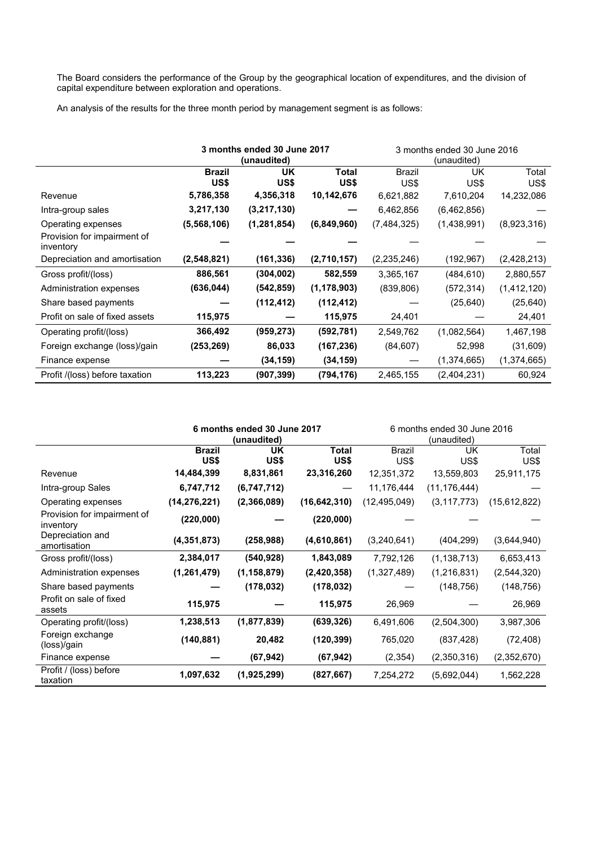The Board considers the performance of the Group by the geographical location of expenditures, and the division of capital expenditure between exploration and operations.

An analysis of the results for the three month period by management segment is as follows:

|                                          | 3 months ended 30 June 2017 |               |               | 3 months ended 30 June 2016 |             |               |
|------------------------------------------|-----------------------------|---------------|---------------|-----------------------------|-------------|---------------|
|                                          |                             | (unaudited)   |               | (unaudited)                 |             |               |
|                                          | <b>Brazil</b>               | <b>UK</b>     | <b>Total</b>  | <b>Brazil</b>               | UK          | Total         |
|                                          | US\$                        | US\$          | US\$          | US\$                        | US\$        | US\$          |
| Revenue                                  | 5,786,358                   | 4,356,318     | 10,142,676    | 6,621,882                   | 7,610,204   | 14,232,086    |
| Intra-group sales                        | 3,217,130                   | (3,217,130)   |               | 6,462,856                   | (6,462,856) |               |
| Operating expenses                       | (5,568,106)                 | (1, 281, 854) | (6,849,960)   | (7,484,325)                 | (1,438,991) | (8,923,316)   |
| Provision for impairment of<br>inventory |                             |               |               |                             |             |               |
| Depreciation and amortisation            | (2,548,821)                 | (161, 336)    | (2,710,157)   | (2,235,246)                 | (192,967)   | (2,428,213)   |
| Gross profit/(loss)                      | 886,561                     | (304, 002)    | 582,559       | 3,365,167                   | (484,610)   | 2,880,557     |
| Administration expenses                  | (636,044)                   | (542, 859)    | (1, 178, 903) | (839, 806)                  | (572,314)   | (1, 412, 120) |
| Share based payments                     |                             | (112, 412)    | (112, 412)    |                             | (25, 640)   | (25, 640)     |
| Profit on sale of fixed assets           | 115,975                     |               | 115,975       | 24,401                      |             | 24,401        |
| Operating profit/(loss)                  | 366,492                     | (959, 273)    | (592, 781)    | 2,549,762                   | (1,082,564) | 1,467,198     |
| Foreign exchange (loss)/gain             | (253,269)                   | 86,033        | (167, 236)    | (84, 607)                   | 52,998      | (31,609)      |
| Finance expense                          |                             | (34, 159)     | (34, 159)     |                             | (1,374,665) | (1,374,665)   |
| Profit /(loss) before taxation           | 113,223                     | (907,399)     | (794,176)     | 2,465,155                   | (2,404,231) | 60,924        |

|                                          | 6 months ended 30 June 2017<br>(unaudited) |               |                | 6 months ended 30 June 2016<br>(unaudited) |                |               |
|------------------------------------------|--------------------------------------------|---------------|----------------|--------------------------------------------|----------------|---------------|
|                                          | <b>Brazil</b><br>US\$                      | UK<br>US\$    | Total<br>US\$  | <b>Brazil</b><br>US\$                      | UK<br>US\$     | Total<br>US\$ |
| Revenue                                  | 14,484,399                                 | 8,831,861     | 23,316,260     | 12,351,372                                 | 13,559,803     | 25,911,175    |
| Intra-group Sales                        | 6,747,712                                  | (6,747,712)   |                | 11,176,444                                 | (11, 176, 444) |               |
| Operating expenses                       | (14, 276, 221)                             | (2,366,089)   | (16, 642, 310) | (12, 495, 049)                             | (3, 117, 773)  | (15,612,822)  |
| Provision for impairment of<br>inventory | (220,000)                                  |               | (220,000)      |                                            |                |               |
| Depreciation and<br>amortisation         | (4,351,873)                                | (258, 988)    | (4,610,861)    | (3,240,641)                                | (404, 299)     | (3,644,940)   |
| Gross profit/(loss)                      | 2,384,017                                  | (540, 928)    | 1,843,089      | 7,792,126                                  | (1, 138, 713)  | 6,653,413     |
| Administration expenses                  | (1,261,479)                                | (1, 158, 879) | (2,420,358)    | (1,327,489)                                | (1,216,831)    | (2, 544, 320) |
| Share based payments                     |                                            | (178, 032)    | (178, 032)     |                                            | (148, 756)     | (148, 756)    |
| Profit on sale of fixed<br>assets        | 115,975                                    |               | 115,975        | 26,969                                     |                | 26,969        |
| Operating profit/(loss)                  | 1,238,513                                  | (1, 877, 839) | (639, 326)     | 6,491,606                                  | (2,504,300)    | 3,987,306     |
| Foreign exchange<br>(loss)/gain          | (140, 881)                                 | 20,482        | (120, 399)     | 765,020                                    | (837, 428)     | (72, 408)     |
| Finance expense                          |                                            | (67, 942)     | (67, 942)      | (2, 354)                                   | (2,350,316)    | (2,352,670)   |
| Profit / (loss) before<br>taxation       | 1,097,632                                  | (1,925,299)   | (827, 667)     | 7,254,272                                  | (5,692,044)    | 1,562,228     |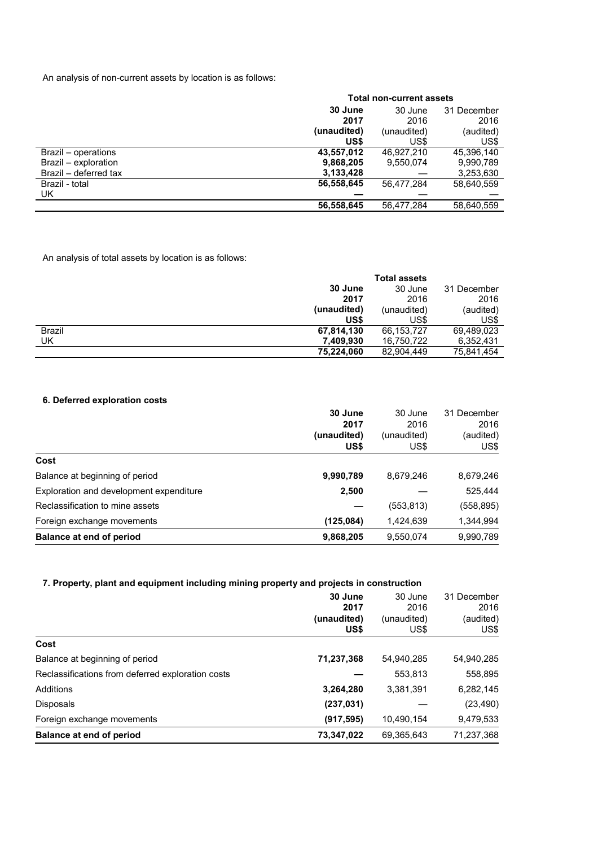An analysis of non-current assets by location is as follows:

|                       | <b>Total non-current assets</b> |             |             |  |
|-----------------------|---------------------------------|-------------|-------------|--|
|                       | 30 June                         | 30 June     | 31 December |  |
|                       | 2017                            | 2016        | 2016        |  |
|                       | (unaudited)                     | (unaudited) | (audited)   |  |
|                       | US\$                            | US\$        | US\$        |  |
| Brazil - operations   | 43,557,012                      | 46.927.210  | 45,396,140  |  |
| Brazil - exploration  | 9,868,205                       | 9,550,074   | 9,990,789   |  |
| Brazil – deferred tax | 3,133,428                       |             | 3,253,630   |  |
| Brazil - total        | 56,558,645                      | 56,477,284  | 58,640,559  |  |
| UK                    |                                 |             |             |  |
|                       | 56,558,645                      | 56.477.284  | 58,640,559  |  |

An analysis of total assets by location is as follows:

|               |             | <b>Total assets</b> |             |
|---------------|-------------|---------------------|-------------|
|               | 30 June     | 30 June             | 31 December |
|               | 2017        | 2016                | 2016        |
|               | (unaudited) | (unaudited)         | (audited)   |
|               | US\$        | US\$                | US\$        |
| <b>Brazil</b> | 67,814,130  | 66,153,727          | 69,489,023  |
| UK            | 7,409,930   | 16,750,722          | 6,352,431   |
|               | 75,224,060  | 82,904,449          | 75,841,454  |

# **6. Deferred exploration costs**

|                                         | 30 June     | 30 June     | 31 December |
|-----------------------------------------|-------------|-------------|-------------|
|                                         | 2017        | 2016        | 2016        |
|                                         | (unaudited) | (unaudited) | (audited)   |
|                                         | US\$        | US\$        | US\$        |
| Cost                                    |             |             |             |
| Balance at beginning of period          | 9,990,789   | 8,679,246   | 8,679,246   |
| Exploration and development expenditure | 2,500       |             | 525,444     |
| Reclassification to mine assets         |             | (553, 813)  | (558, 895)  |
| Foreign exchange movements              | (125,084)   | 1,424,639   | 1,344,994   |
| Balance at end of period                | 9,868,205   | 9,550,074   | 9,990,789   |

## **7. Property, plant and equipment including mining property and projects in construction**

|                                                   | 30 June     | 30 June     | 31 December |
|---------------------------------------------------|-------------|-------------|-------------|
|                                                   | 2017        | 2016        | 2016        |
|                                                   | (unaudited) | (unaudited) | (audited)   |
|                                                   | US\$        | US\$        | US\$        |
| Cost                                              |             |             |             |
| Balance at beginning of period                    | 71,237,368  | 54,940,285  | 54,940,285  |
| Reclassifications from deferred exploration costs |             | 553,813     | 558,895     |
| Additions                                         | 3,264,280   | 3,381,391   | 6,282,145   |
| <b>Disposals</b>                                  | (237, 031)  |             | (23, 490)   |
| Foreign exchange movements                        | (917, 595)  | 10,490,154  | 9,479,533   |
| Balance at end of period                          | 73,347,022  | 69,365,643  | 71,237,368  |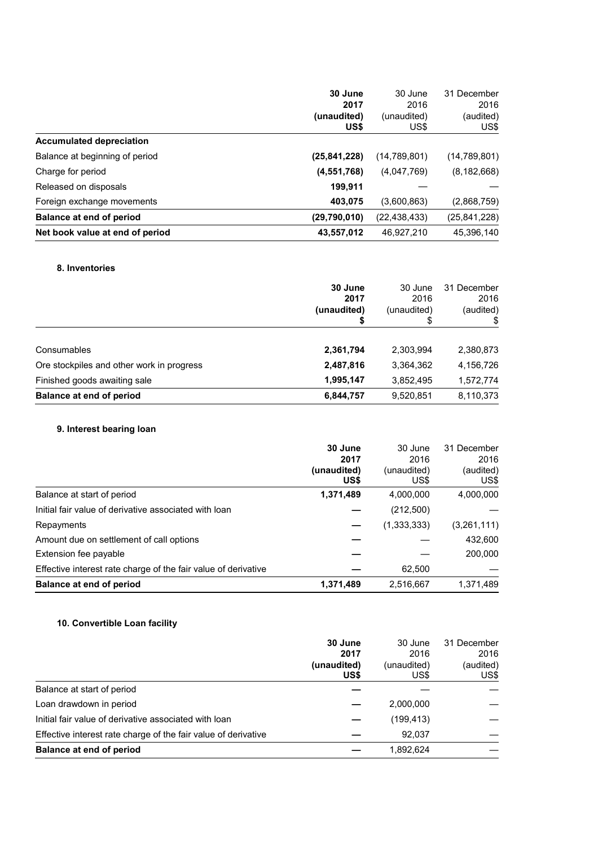|                                 | 30 June        | 30 June        | 31 December    |
|---------------------------------|----------------|----------------|----------------|
|                                 | 2017           | 2016           | 2016           |
|                                 | (unaudited)    | (unaudited)    | (audited)      |
|                                 | US\$           | US\$           | US\$           |
| <b>Accumulated depreciation</b> |                |                |                |
| Balance at beginning of period  | (25, 841, 228) | (14,789,801)   | (14, 789, 801) |
| Charge for period               | (4, 551, 768)  | (4,047,769)    | (8, 182, 668)  |
| Released on disposals           | 199,911        |                |                |
| Foreign exchange movements      | 403,075        | (3,600,863)    | (2,868,759)    |
| Balance at end of period        | (29,790,010)   | (22, 438, 433) | (25, 841, 228) |
| Net book value at end of period | 43,557,012     | 46.927.210     | 45,396,140     |

## **8. Inventories**

|                                           | 30 June<br>2017<br>(unaudited) | 30 June<br>2016<br>(unaudited)<br>S | 31 December<br>2016<br>(audited) |
|-------------------------------------------|--------------------------------|-------------------------------------|----------------------------------|
| Consumables                               | 2,361,794                      | 2,303,994                           | 2,380,873                        |
| Ore stockpiles and other work in progress | 2,487,816                      | 3,364,362                           | 4,156,726                        |
| Finished goods awaiting sale              | 1,995,147                      | 3,852,495                           | 1,572,774                        |
| <b>Balance at end of period</b>           | 6,844,757                      | 9,520,851                           | 8,110,373                        |

# **9. Interest bearing loan**

|                                                                | 30 June<br>2017<br>(unaudited)<br>US\$ | 30 June<br>2016<br>(unaudited)<br>US\$ | 31 December<br>2016<br>(audited)<br>US\$ |
|----------------------------------------------------------------|----------------------------------------|----------------------------------------|------------------------------------------|
| Balance at start of period                                     | 1,371,489                              | 4,000,000                              | 4,000,000                                |
| Initial fair value of derivative associated with loan          |                                        | (212,500)                              |                                          |
| Repayments                                                     |                                        | (1,333,333)                            | (3,261,111)                              |
| Amount due on settlement of call options                       |                                        |                                        | 432,600                                  |
| Extension fee payable                                          |                                        |                                        | 200,000                                  |
| Effective interest rate charge of the fair value of derivative |                                        | 62,500                                 |                                          |
| Balance at end of period                                       | 1,371,489                              | 2,516,667                              | 1,371,489                                |

# **10. Convertible Loan facility**

|                                                                | 30 June             | 30 June             | 31 December       |
|----------------------------------------------------------------|---------------------|---------------------|-------------------|
|                                                                | 2017                | 2016                | 2016              |
|                                                                | (unaudited)<br>US\$ | (unaudited)<br>US\$ | (audited)<br>US\$ |
| Balance at start of period                                     |                     |                     |                   |
| Loan drawdown in period                                        |                     | 2,000,000           |                   |
| Initial fair value of derivative associated with loan          |                     | (199, 413)          |                   |
| Effective interest rate charge of the fair value of derivative |                     | 92.037              |                   |
| <b>Balance at end of period</b>                                |                     | 1,892,624           |                   |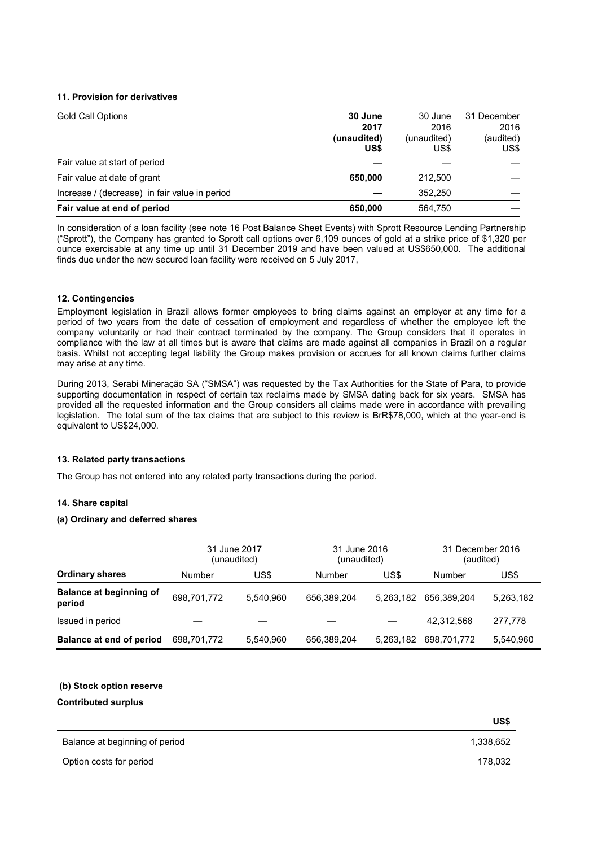## **11. Provision for derivatives**

| <b>Gold Call Options</b>                      | 30 June<br>2017<br>(unaudited)<br>US\$ | 30 June<br>2016<br>(unaudited)<br>US\$ | 31 December<br>2016<br>(audited)<br>US\$ |
|-----------------------------------------------|----------------------------------------|----------------------------------------|------------------------------------------|
| Fair value at start of period                 |                                        |                                        |                                          |
| Fair value at date of grant                   | 650.000                                | 212,500                                |                                          |
| Increase / (decrease) in fair value in period |                                        | 352.250                                |                                          |
| Fair value at end of period                   | 650,000                                | 564,750                                |                                          |

In consideration of a loan facility (see note 16 Post Balance Sheet Events) with Sprott Resource Lending Partnership ("Sprott"), the Company has granted to Sprott call options over 6,109 ounces of gold at a strike price of \$1,320 per ounce exercisable at any time up until 31 December 2019 and have been valued at US\$650,000. The additional finds due under the new secured loan facility were received on 5 July 2017,

## **12. Contingencies**

Employment legislation in Brazil allows former employees to bring claims against an employer at any time for a period of two years from the date of cessation of employment and regardless of whether the employee left the company voluntarily or had their contract terminated by the company. The Group considers that it operates in compliance with the law at all times but is aware that claims are made against all companies in Brazil on a regular basis. Whilst not accepting legal liability the Group makes provision or accrues for all known claims further claims may arise at any time.

During 2013, Serabi Mineração SA ("SMSA") was requested by the Tax Authorities for the State of Para, to provide supporting documentation in respect of certain tax reclaims made by SMSA dating back for six years. SMSA has provided all the requested information and the Group considers all claims made were in accordance with prevailing legislation. The total sum of the tax claims that are subject to this review is BrR\$78,000, which at the year-end is equivalent to US\$24,000.

## **13. Related party transactions**

The Group has not entered into any related party transactions during the period.

## **14. Share capital**

## **(a) Ordinary and deferred shares**

|                                          |             | 31 June 2017<br>(unaudited) | 31 June 2016<br>(unaudited) |           | 31 December 2016<br>(audited) |           |
|------------------------------------------|-------------|-----------------------------|-----------------------------|-----------|-------------------------------|-----------|
| <b>Ordinary shares</b>                   | Number      | US\$                        | Number                      | US\$      | Number                        | US\$      |
| <b>Balance at beginning of</b><br>period | 698,701,772 | 5.540.960                   | 656,389,204                 | 5,263,182 | 656.389.204                   | 5,263,182 |
| Issued in period                         |             |                             |                             |           | 42,312,568                    | 277.778   |
| Balance at end of period                 | 698.701.772 | 5.540.960                   | 656,389,204                 | 5.263.182 | 698.701.772                   | 5,540,960 |

## **(b) Stock option reserve**

**Contributed surplus** 

 $\overline{a}$ 

|                                | US\$      |
|--------------------------------|-----------|
| Balance at beginning of period | 1,338,652 |
| Option costs for period        | 178,032   |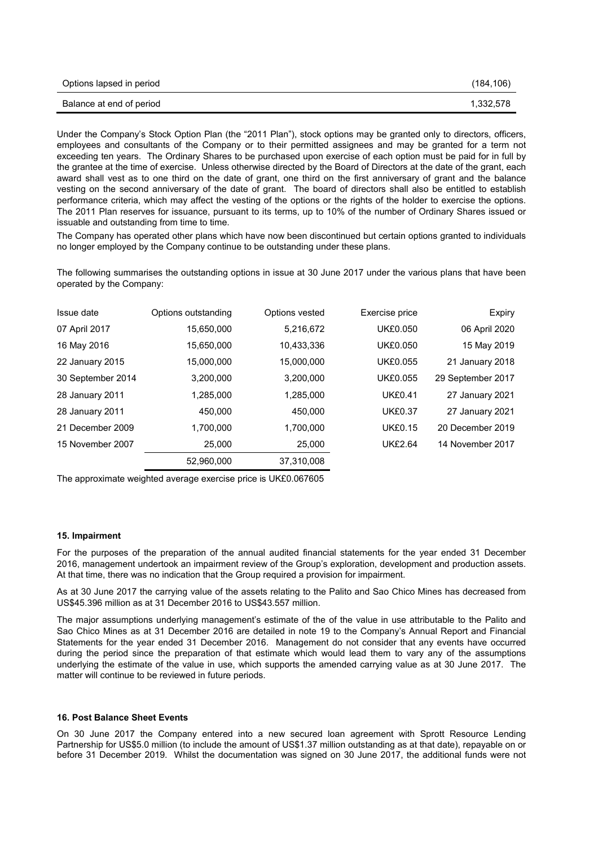| Options lapsed in period | (184, 106) |
|--------------------------|------------|
| Balance at end of period | 1.332.578  |

Under the Company's Stock Option Plan (the "2011 Plan"), stock options may be granted only to directors, officers, employees and consultants of the Company or to their permitted assignees and may be granted for a term not exceeding ten years. The Ordinary Shares to be purchased upon exercise of each option must be paid for in full by the grantee at the time of exercise. Unless otherwise directed by the Board of Directors at the date of the grant, each award shall vest as to one third on the date of grant, one third on the first anniversary of grant and the balance vesting on the second anniversary of the date of grant. The board of directors shall also be entitled to establish performance criteria, which may affect the vesting of the options or the rights of the holder to exercise the options. The 2011 Plan reserves for issuance, pursuant to its terms, up to 10% of the number of Ordinary Shares issued or issuable and outstanding from time to time.

The Company has operated other plans which have now been discontinued but certain options granted to individuals no longer employed by the Company continue to be outstanding under these plans.

The following summarises the outstanding options in issue at 30 June 2017 under the various plans that have been operated by the Company:

| Issue date        | Options outstanding | Options vested | Exercise price  | <b>Expiry</b>     |
|-------------------|---------------------|----------------|-----------------|-------------------|
| 07 April 2017     | 15,650,000          | 5,216,672      | <b>UK£0.050</b> | 06 April 2020     |
| 16 May 2016       | 15,650,000          | 10.433.336     | <b>UK£0.050</b> | 15 May 2019       |
| 22 January 2015   | 15,000,000          | 15,000,000     | <b>UK£0.055</b> | 21 January 2018   |
| 30 September 2014 | 3,200,000           | 3,200,000      | <b>UK£0.055</b> | 29 September 2017 |
| 28 January 2011   | 1,285,000           | 1,285,000      | <b>UK£0.41</b>  | 27 January 2021   |
| 28 January 2011   | 450,000             | 450.000        | <b>UK£0.37</b>  | 27 January 2021   |
| 21 December 2009  | 1.700.000           | 1.700.000      | <b>UK£0.15</b>  | 20 December 2019  |
| 15 November 2007  | 25,000              | 25,000         | <b>UK£2.64</b>  | 14 November 2017  |
|                   | 52.960.000          | 37,310,008     |                 |                   |

The approximate weighted average exercise price is UK£0.067605

#### **15. Impairment**

For the purposes of the preparation of the annual audited financial statements for the year ended 31 December 2016, management undertook an impairment review of the Group's exploration, development and production assets. At that time, there was no indication that the Group required a provision for impairment.

As at 30 June 2017 the carrying value of the assets relating to the Palito and Sao Chico Mines has decreased from US\$45.396 million as at 31 December 2016 to US\$43.557 million.

The major assumptions underlying management's estimate of the of the value in use attributable to the Palito and Sao Chico Mines as at 31 December 2016 are detailed in note 19 to the Company's Annual Report and Financial Statements for the year ended 31 December 2016. Management do not consider that any events have occurred during the period since the preparation of that estimate which would lead them to vary any of the assumptions underlying the estimate of the value in use, which supports the amended carrying value as at 30 June 2017. The matter will continue to be reviewed in future periods.

#### **16. Post Balance Sheet Events**

On 30 June 2017 the Company entered into a new secured loan agreement with Sprott Resource Lending Partnership for US\$5.0 million (to include the amount of US\$1.37 million outstanding as at that date), repayable on or before 31 December 2019. Whilst the documentation was signed on 30 June 2017, the additional funds were not